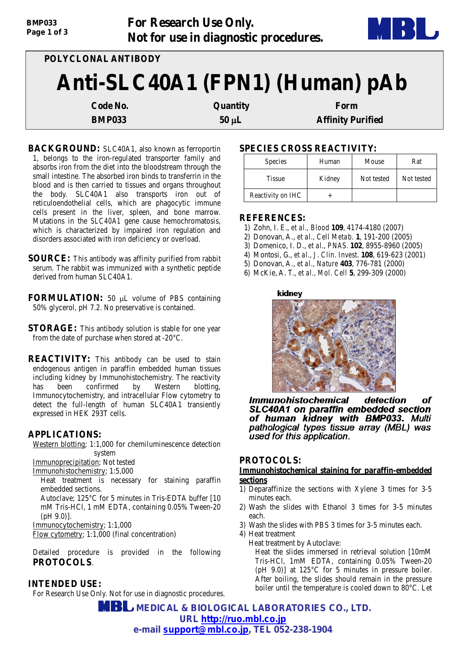| <b>BIVIPUSS</b><br>Page 1 of 3 |                     | FOR RESEARCH USE UIIIY.<br>Not for use in diagnostic procedures. |                          |  |
|--------------------------------|---------------------|------------------------------------------------------------------|--------------------------|--|
|                                | POLYCLONAL ANTIBODY |                                                                  |                          |  |
|                                |                     | Anti-SLC40A1 (FPN1) (Human) pAb                                  |                          |  |
|                                | Code No.            | Quantity                                                         | Form                     |  |
|                                | <b>BMP033</b>       | $50 \mu L$                                                       | <b>Affinity Purified</b> |  |

**For Research Use Only.**

**BACKGROUND:** SLC40A1, also known as ferroportin 1, belongs to the iron-regulated transporter family and absorbs iron from the diet into the bloodstream through the small intestine. The absorbed iron binds to transferrin in the blood and is then carried to tissues and organs throughout the body. SLC40A1 also transports iron out of reticuloendothelial cells, which are phagocytic immune cells present in the liver, spleen, and bone marrow. Mutations in the *SLC40A1* gene cause hemochromatosis, which is characterized by impaired iron regulation and disorders associated with iron deficiency or overload.

**SOURCE:** This antibody was affinity purified from rabbit serum. The rabbit was immunized with a synthetic peptide derived from human SLC40A1.

**FORMULATION:** 50 µL volume of PBS containing 50% glycerol, pH 7.2. No preservative is contained.

**STORAGE:** This antibody solution is stable for one year from the date of purchase when stored at -20°C.

**REACTIVITY:** This antibody can be used to stain endogenous antigen in paraffin embedded human tissues including kidney by Immunohistochemistry. The reactivity has been confirmed by Western blotting, Immunocytochemistry, and intracellular Flow cytometry to detect the full-length of human SLC40A1 transiently expressed in HEK 293T cells.

## **APPLICATIONS:**

*BMP033*

Western blotting; 1:1,000 for chemiluminescence detection system Immunoprecipitation; Not tested

Immunohistochemistry; 1:5,000 Heat treatment is necessary for staining paraffin

embedded sections. Autoclave; 125°C for 5 minutes in Tris-EDTA buffer [10 mM Tris-HCl, 1 mM EDTA, containing 0.05% Tween-20 (pH 9.0)].

Immunocytochemistry; 1:1,000

Flow cytometry; 1:1,000 (final concentration)

Detailed procedure is provided in the following **PROTOCOLS**.

## **INTENDED USE:**

For Research Use Only. Not for use in diagnostic procedures.

## **SPECIES CROSS REACTIVITY:**

| <b>Species</b>    | Human  | Mouse      | Rat        |
|-------------------|--------|------------|------------|
| <b>Tissue</b>     | Kidney | Not tested | Not tested |
| Reactivity on IHC |        |            |            |

### **REFERENCES:**

- 1) Zohn, I. E., *et al., Blood* **109**, 4174-4180 (2007)
- 2) Donovan, A., *et al., Cell Metab*. **1**, 191-200 (2005)
- 3) Domenico, I. D., *et al., PNAS.* **102**, 8955-8960 (2005)
- 4) Montosi, G., *et al., J. Clin. Invest*. **108**, 619-623 (2001)

5) Donovan, A., *et al., Nature* **403**, 776-781 (2000)

6) McKie, A. T., *et al., Mol. Cell* **5**, 299-309 (2000)

#### kidney



**Immunohistochemical** detection nf SLC40A1 on paraffin embedded section of human kidney with BMP033. Multi pathological types tissue array (MBL) was used for this application.

### **PROTOCOLS:**

### **Immunohistochemical staining for paraffin-embedded sections**

- 1) Deparaffinize the sections with Xylene 3 times for 3-5 minutes each.
- 2) Wash the slides with Ethanol 3 times for 3-5 minutes each.
- 3) Wash the slides with PBS 3 times for 3-5 minutes each.

4) Heat treatment

Heat treatment by Autoclave:

Heat the slides immersed in retrieval solution [10mM Tris-HCl, 1mM EDTA, containing 0.05% Tween-20 (pH 9.0)] at 125°C for 5 minutes in pressure boiler. After boiling, the slides should remain in the pressure boiler until the temperature is cooled down to 80°C. Let

 **MEDICAL & BIOLOGICAL LABORATORIES CO., LTD. URL [http://ruo.mbl.co.jp](http://ruo.mbl.co.jp/) e-mail support@mbl.co.jp, TEL 052-238-1904**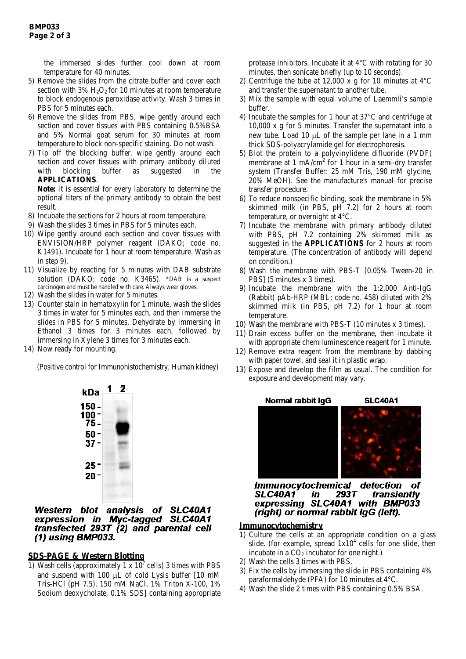the immersed slides further cool down at room temperature for 40 minutes.

- 5) Remove the slides from the citrate buffer and cover each section with  $3\%$  H<sub>2</sub>O<sub>2</sub> for 10 minutes at room temperature to block endogenous peroxidase activity. Wash 3 times in PBS for 5 minutes each.
- 6) Remove the slides from PBS, wipe gently around each section and cover tissues with PBS containing 0.5%BSA and 5% Normal goat serum for 30 minutes at room temperature to block non-specific staining. Do not wash.
- 7) Tip off the blocking buffer, wipe gently around each section and cover tissues with primary antibody diluted with blocking buffer as suggested in the **APPLICATIONS**.

**Note:** It is essential for every laboratory to determine the optional titers of the primary antibody to obtain the best result.

- 8) Incubate the sections for 2 hours at room temperature.
- 9) Wash the slides 3 times in PBS for 5 minutes each.
- 10) Wipe gently around each section and cover tissues with ENVISION/HRP polymer reagent (DAKO; code no. K1491). Incubate for 1 hour at room temperature. Wash as in step 9).
- 11) Visualize by reacting for 5 minutes with DAB substrate solution (DAKO; code no. K3465). \*DAB is a suspect carcinogen and must be handled with care. Always wear gloves.
- 12) Wash the slides in water for 5 minutes.
- 13) Counter stain in hematoxylin for 1 minute, wash the slides 3 times in water for 5 minutes each, and then immerse the slides in PBS for 5 minutes. Dehydrate by immersing in Ethanol 3 times for 3 minutes each, followed by immersing in Xylene 3 times for 3 minutes each.
- 14) Now ready for mounting.

(Positive control for Immunohistochemistry; Human kidney)



Western blot analysis of SLC40A1 expression in Myc-tagged SLC40A1 transfected 293T (2) and parental cell (1) using BMP033.

# **SDS-PAGE & Western Blotting**

1) Wash cells (approximately 1 x  $10^7$  cells) 3 times with PBS and suspend with 100  $\mu$ L of cold Lysis buffer [10 mM Tris-HCl (pH 7.5), 150 mM NaCl, 1% Triton X-100, 1% Sodium deoxycholate, 0.1% SDS] containing appropriate protease inhibitors. Incubate it at 4°C with rotating for 30 minutes, then sonicate briefly (up to 10 seconds).

- 2) Centrifuge the tube at 12,000 x g for 10 minutes at  $4^{\circ}$ C and transfer the supernatant to another tube.
- 3) Mix the sample with equal volume of Laemmli's sample buffer.
- 4) Incubate the samples for 1 hour at 37°C and centrifuge at 10,000 x g for 5 minutes. Transfer the supernatant into a new tube. Load 10 µL of the sample per lane in a 1 mm thick SDS-polyacrylamide gel for electrophoresis.
- 5) Blot the protein to a polyvinylidene difluoride (PVDF) membrane at 1 mA/cm<sup>2</sup> for 1 hour in a semi-dry transfer system (Transfer Buffer: 25 mM Tris, 190 mM glycine, 20% MeOH). See the manufacture's manual for precise transfer procedure.
- 6) To reduce nonspecific binding, soak the membrane in 5% skimmed milk (in PBS, pH 7.2) for 2 hours at room temperature, or overnight at 4°C.
- 7) Incubate the membrane with primary antibody diluted with PBS, pH 7.2 containing 2% skimmed milk as suggested in the **APPLICATIONS** for 2 hours at room temperature. (The concentration of antibody will depend on condition.)
- 8) Wash the membrane with PBS-T [0.05% Tween-20 in PBS] (5 minutes x 3 times).
- 9) Incubate the membrane with the 1:2,000 Anti-IgG (Rabbit) pAb-HRP (MBL; code no. 458) diluted with 2% skimmed milk (in PBS, pH 7.2) for 1 hour at room temperature.
- 10) Wash the membrane with PBS-T (10 minutes x 3 times).
- 11) Drain excess buffer on the membrane, then incubate it with appropriate chemiluminescence reagent for 1 minute.
- 12) Remove extra reagent from the membrane by dabbing with paper towel, and seal it in plastic wrap.
- 13) Expose and develop the film as usual. The condition for exposure and development may vary.



**Immunocytochemical** detection ΩĪ  $293T$ **SLC40A1** in transiently expressing SLC40A1 with BMP033 (right) or normal rabbit IgG (left).

# **Immunocytochemistry**

- 1) Culture the cells at an appropriate condition on a glass slide. (for example, spread  $1x10<sup>4</sup>$  cells for one slide, then incubate in a  $CO<sub>2</sub>$  incubator for one night.)
- 2) Wash the cells 3 times with PBS.
- 3) Fix the cells by immersing the slide in PBS containing 4% paraformaldehyde (PFA) for 10 minutes at 4°C.
- 4) Wash the slide 2 times with PBS containing 0.5% BSA.